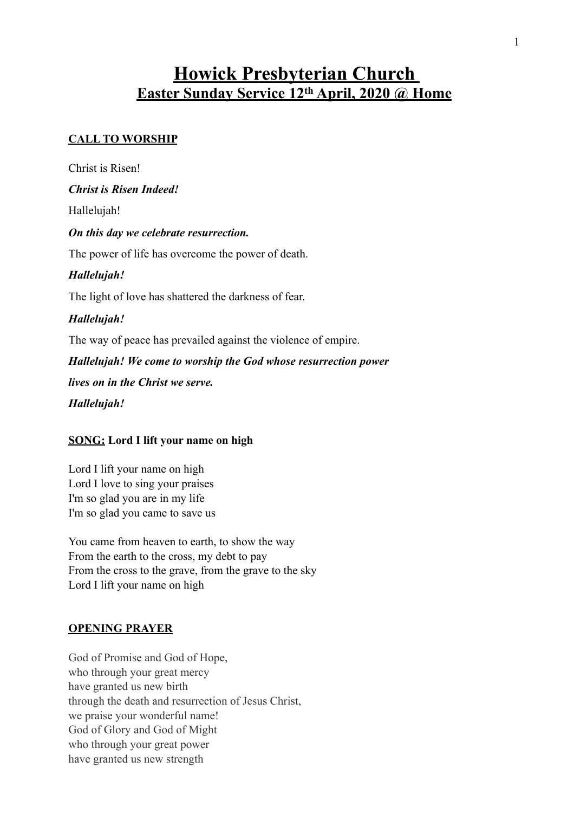# **Howick Presbyterian Church Easter Sunday Service 12th April, 2020 @ Home**

# **CALL TO WORSHIP**

Christ is Risen! *Christ is Risen Indeed!* Hallelujah! *On this day we celebrate resurrection.* The power of life has overcome the power of death. *Hallelujah!* The light of love has shattered the darkness of fear. *Hallelujah!* The way of peace has prevailed against the violence of empire. *Hallelujah! We come to worship the God whose resurrection power lives on in the Christ we serve. Hallelujah!*

### **SONG: Lord I lift your name on high**

Lord I lift your name on high Lord I love to sing your praises I'm so glad you are in my life I'm so glad you came to save us

You came from heaven to earth, to show the way From the earth to the cross, my debt to pay From the cross to the grave, from the grave to the sky Lord I lift your name on high

### **OPENING PRAYER**

God of Promise and God of Hope, who through your great mercy have granted us new birth through the death and resurrection of Jesus Christ, we praise your wonderful name! God of Glory and God of Might who through your great power have granted us new strength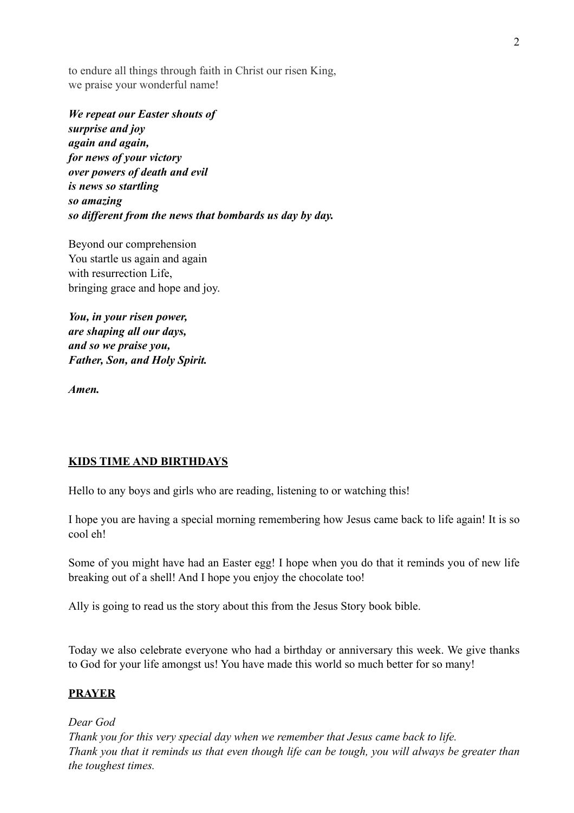to endure all things through faith in Christ our risen King, we praise your wonderful name!

*We repeat our Easter shouts of surprise and joy again and again, for news of your victory over powers of death and evil is news so startling so amazing so different from the news that bombards us day by day.*

Beyond our comprehension You startle us again and again with resurrection Life, bringing grace and hope and joy.

*You, in your risen power, are shaping all our days, and so we praise you, Father, Son, and Holy Spirit.*

*Amen.*

# **KIDS TIME AND BIRTHDAYS**

Hello to any boys and girls who are reading, listening to or watching this!

I hope you are having a special morning remembering how Jesus came back to life again! It is so cool eh!

Some of you might have had an Easter egg! I hope when you do that it reminds you of new life breaking out of a shell! And I hope you enjoy the chocolate too!

Ally is going to read us the story about this from the Jesus Story book bible.

Today we also celebrate everyone who had a birthday or anniversary this week. We give thanks to God for your life amongst us! You have made this world so much better for so many!

### **PRAYER**

#### *Dear God*

*Thank you for this very special day when we remember that Jesus came back to life. Thank you that it reminds us that even though life can be tough, you will always be greater than the toughest times.*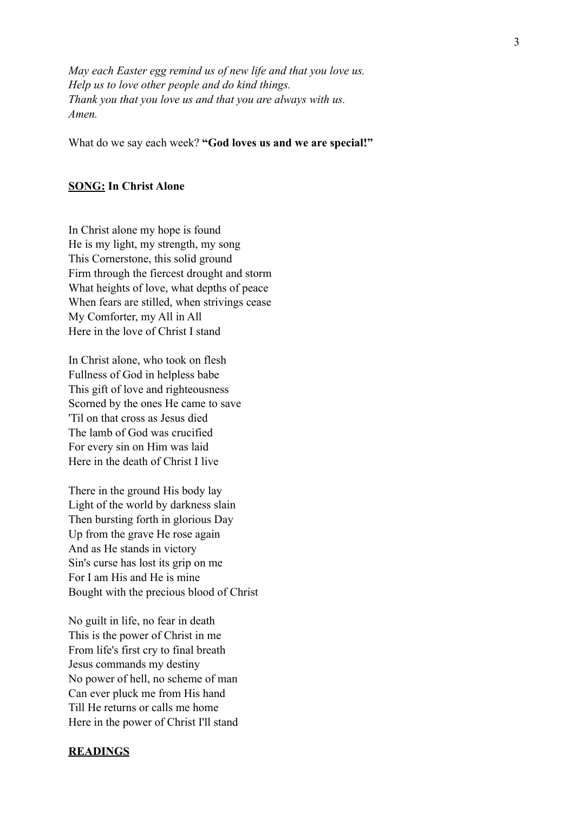*May each Easter egg remind us of new life and that you love us. Help us to love other people and do kind things. Thank you that you love us and that you are always with us. Amen.*

What do we say each week? **"God loves us and we are special!"**

## **SONG: In Christ Alone**

In Christ alone my hope is found He is my light, my strength, my song This Cornerstone, this solid ground Firm through the fiercest drought and storm What heights of love, what depths of peace When fears are stilled, when strivings cease My Comforter, my All in All Here in the love of Christ I stand

In Christ alone, who took on flesh Fullness of God in helpless babe This gift of love and righteousness Scorned by the ones He came to save 'Til on that cross as Jesus died The lamb of God was crucified For every sin on Him was laid Here in the death of Christ I live

There in the ground His body lay Light of the world by darkness slain Then bursting forth in glorious Day Up from the grave He rose again And as He stands in victory Sin's curse has lost its grip on me For I am His and He is mine Bought with the precious blood of Christ

No guilt in life, no fear in death This is the power of Christ in me From life's first cry to final breath Jesus commands my destiny No power of hell, no scheme of man Can ever pluck me from His hand Till He returns or calls me home Here in the power of Christ I'll stand

#### **READINGS**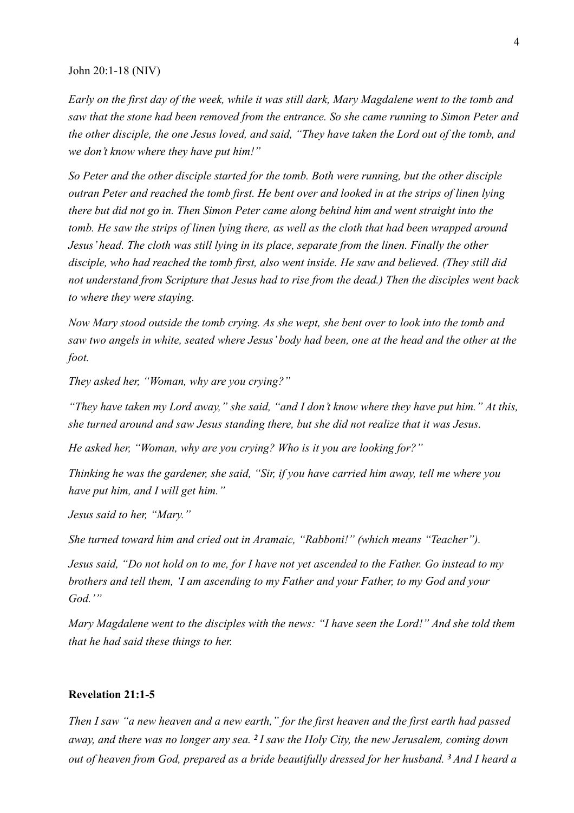#### John 20:1-18 (NIV)

*Early on the first day of the week, while it was still dark, Mary Magdalene went to the tomb and saw that the stone had been removed from the entrance. So she came running to Simon Peter and the other disciple, the one Jesus loved, and said, "They have taken the Lord out of the tomb, and we don't know where they have put him!"*

*So Peter and the other disciple started for the tomb. Both were running, but the other disciple outran Peter and reached the tomb first. He bent over and looked in at the strips of linen lying there but did not go in. Then Simon Peter came along behind him and went straight into the tomb. He saw the strips of linen lying there, as well as the cloth that had been wrapped around Jesus' head. The cloth was still lying in its place, separate from the linen. Finally the other disciple, who had reached the tomb first, also went inside. He saw and believed. (They still did not understand from Scripture that Jesus had to rise from the dead.) Then the disciples went back to where they were staying.*

*Now Mary stood outside the tomb crying. As she wept, she bent over to look into the tomb and saw two angels in white, seated where Jesus' body had been, one at the head and the other at the foot.*

*They asked her, "Woman, why are you crying?"*

*"They have taken my Lord away," she said, "and I don't know where they have put him." At this, she turned around and saw Jesus standing there, but she did not realize that it was Jesus.*

*He asked her, "Woman, why are you crying? Who is it you are looking for?"*

*Thinking he was the gardener, she said, "Sir, if you have carried him away, tell me where you have put him, and I will get him."*

*Jesus said to her, "Mary."*

*She turned toward him and cried out in Aramaic, "Rabboni!" (which means "Teacher").*

*Jesus said, "Do not hold on to me, for I have not yet ascended to the Father. Go instead to my brothers and tell them, 'I am ascending to my Father and your Father, to my God and your God.'"*

*Mary Magdalene went to the disciples with the news: "I have seen the Lord!" And she told them that he had said these things to her.*

#### **Revelation 21:1-5**

*Then I saw "a new heaven and a new earth," for the first heaven and the first earth had passed away, and there was no longer any sea. <sup>2</sup>I saw the Holy City, the new Jerusalem, coming down out of heaven from God, prepared as a bride beautifully dressed for her husband. 3 And I heard a*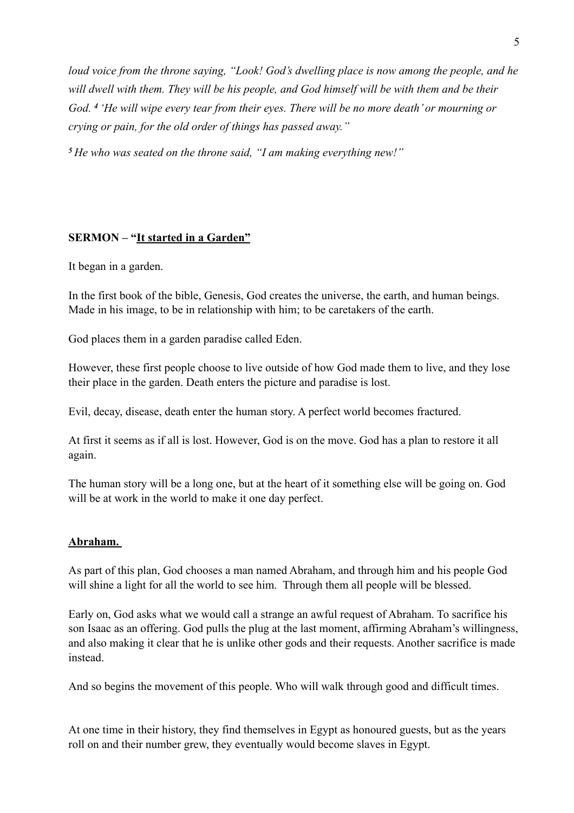*loud voice from the throne saying, "Look! God's dwelling place is now among the people, and he will dwell with them. They will be his people, and God himself will be with them and be their God. <sup>4</sup>'He will wipe every tear from their eyes. There will be no more death' or mourning or crying or pain, for the old order of things has passed away."*

*<sup>5</sup>He who was seated on the throne said, "I am making everything new!"*

# **SERMON – "It started in a Garden"**

It began in a garden.

In the first book of the bible, Genesis, God creates the universe, the earth, and human beings. Made in his image, to be in relationship with him; to be caretakers of the earth.

God places them in a garden paradise called Eden.

However, these first people choose to live outside of how God made them to live, and they lose their place in the garden. Death enters the picture and paradise is lost.

Evil, decay, disease, death enter the human story. A perfect world becomes fractured.

At first it seems as if all is lost. However, God is on the move. God has a plan to restore it all again.

The human story will be a long one, but at the heart of it something else will be going on. God will be at work in the world to make it one day perfect.

# **Abraham.**

As part of this plan, God chooses a man named Abraham, and through him and his people God will shine a light for all the world to see him. Through them all people will be blessed.

Early on, God asks what we would call a strange an awful request of Abraham. To sacrifice his son Isaac as an offering. God pulls the plug at the last moment, affirming Abraham's willingness, and also making it clear that he is unlike other gods and their requests. Another sacrifice is made instead.

And so begins the movement of this people. Who will walk through good and difficult times.

At one time in their history, they find themselves in Egypt as honoured guests, but as the years roll on and their number grew, they eventually would become slaves in Egypt.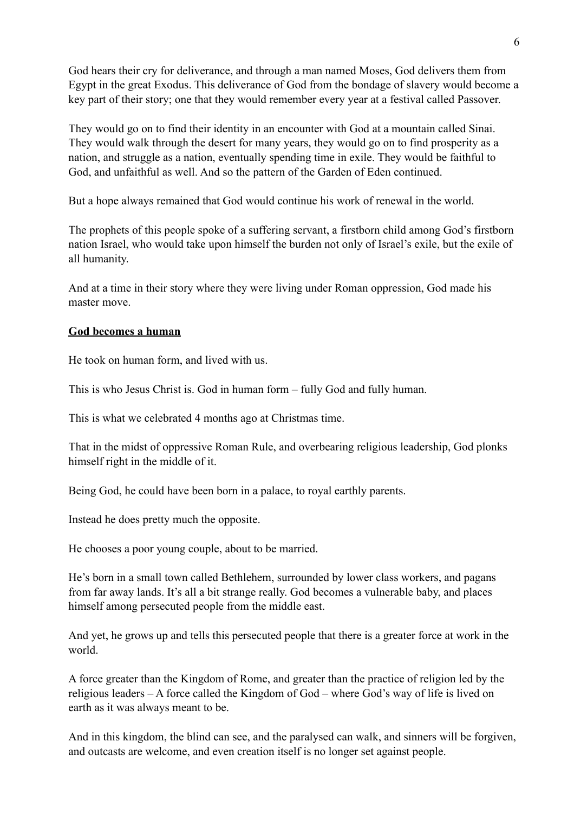God hears their cry for deliverance, and through a man named Moses, God delivers them from Egypt in the great Exodus. This deliverance of God from the bondage of slavery would become a key part of their story; one that they would remember every year at a festival called Passover.

They would go on to find their identity in an encounter with God at a mountain called Sinai. They would walk through the desert for many years, they would go on to find prosperity as a nation, and struggle as a nation, eventually spending time in exile. They would be faithful to God, and unfaithful as well. And so the pattern of the Garden of Eden continued.

But a hope always remained that God would continue his work of renewal in the world.

The prophets of this people spoke of a suffering servant, a firstborn child among God's firstborn nation Israel, who would take upon himself the burden not only of Israel's exile, but the exile of all humanity.

And at a time in their story where they were living under Roman oppression, God made his master move.

# **God becomes a human**

He took on human form, and lived with us.

This is who Jesus Christ is. God in human form – fully God and fully human.

This is what we celebrated 4 months ago at Christmas time.

That in the midst of oppressive Roman Rule, and overbearing religious leadership, God plonks himself right in the middle of it.

Being God, he could have been born in a palace, to royal earthly parents.

Instead he does pretty much the opposite.

He chooses a poor young couple, about to be married.

He's born in a small town called Bethlehem, surrounded by lower class workers, and pagans from far away lands. It's all a bit strange really. God becomes a vulnerable baby, and places himself among persecuted people from the middle east.

And yet, he grows up and tells this persecuted people that there is a greater force at work in the world.

A force greater than the Kingdom of Rome, and greater than the practice of religion led by the religious leaders – A force called the Kingdom of God – where God's way of life is lived on earth as it was always meant to be.

And in this kingdom, the blind can see, and the paralysed can walk, and sinners will be forgiven, and outcasts are welcome, and even creation itself is no longer set against people.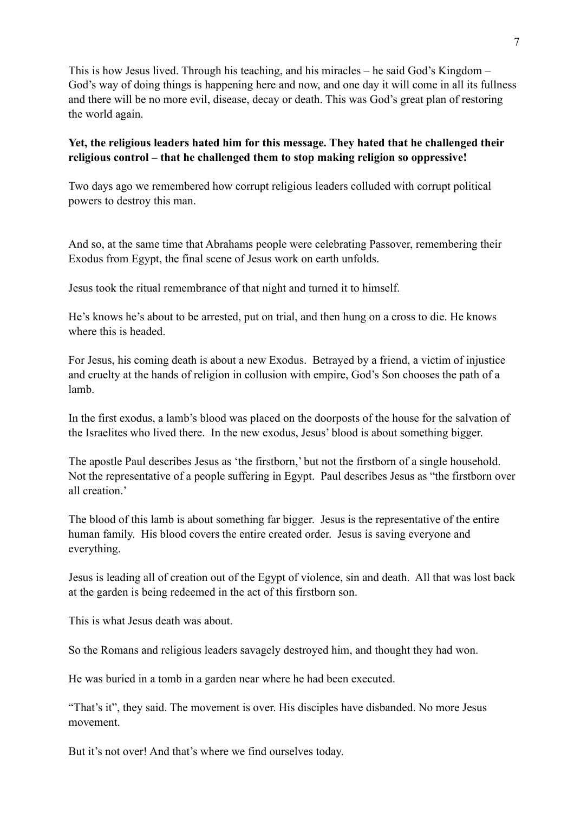This is how Jesus lived. Through his teaching, and his miracles – he said God's Kingdom – God's way of doing things is happening here and now, and one day it will come in all its fullness and there will be no more evil, disease, decay or death. This was God's great plan of restoring the world again.

# **Yet, the religious leaders hated him for this message. They hated that he challenged their religious control – that he challenged them to stop making religion so oppressive!**

Two days ago we remembered how corrupt religious leaders colluded with corrupt political powers to destroy this man.

And so, at the same time that Abrahams people were celebrating Passover, remembering their Exodus from Egypt, the final scene of Jesus work on earth unfolds.

Jesus took the ritual remembrance of that night and turned it to himself.

He's knows he's about to be arrested, put on trial, and then hung on a cross to die. He knows where this is headed.

For Jesus, his coming death is about a new Exodus. Betrayed by a friend, a victim of injustice and cruelty at the hands of religion in collusion with empire, God's Son chooses the path of a lamb.

In the first exodus, a lamb's blood was placed on the doorposts of the house for the salvation of the Israelites who lived there. In the new exodus, Jesus' blood is about something bigger.

The apostle Paul describes Jesus as 'the firstborn,' but not the firstborn of a single household. Not the representative of a people suffering in Egypt. Paul describes Jesus as "the firstborn over all creation.'

The blood of this lamb is about something far bigger. Jesus is the representative of the entire human family. His blood covers the entire created order. Jesus is saving everyone and everything.

Jesus is leading all of creation out of the Egypt of violence, sin and death. All that was lost back at the garden is being redeemed in the act of this firstborn son.

This is what Jesus death was about.

So the Romans and religious leaders savagely destroyed him, and thought they had won.

He was buried in a tomb in a garden near where he had been executed.

"That's it", they said. The movement is over. His disciples have disbanded. No more Jesus movement.

But it's not over! And that's where we find ourselves today.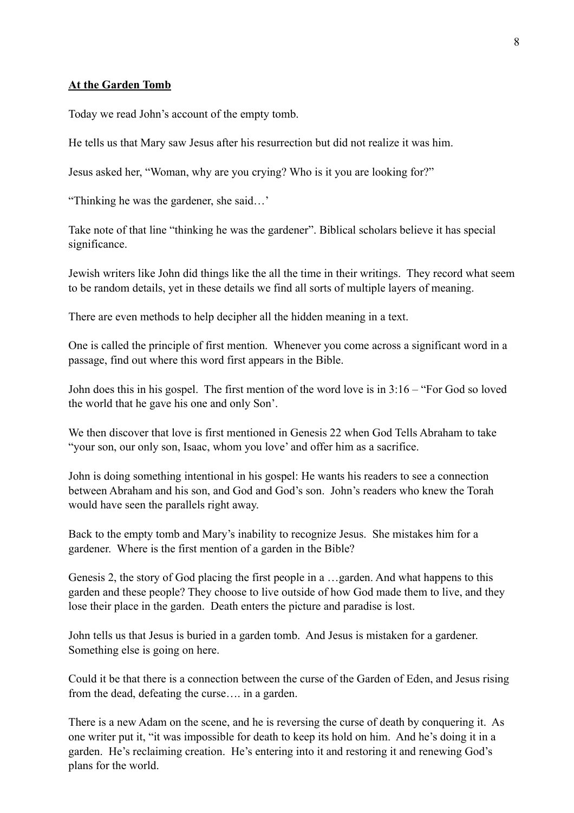#### **At the Garden Tomb**

Today we read John's account of the empty tomb.

He tells us that Mary saw Jesus after his resurrection but did not realize it was him.

Jesus asked her, "Woman, why are you crying? Who is it you are looking for?"

"Thinking he was the gardener, she said…'

Take note of that line "thinking he was the gardener". Biblical scholars believe it has special significance.

Jewish writers like John did things like the all the time in their writings. They record what seem to be random details, yet in these details we find all sorts of multiple layers of meaning.

There are even methods to help decipher all the hidden meaning in a text.

One is called the principle of first mention. Whenever you come across a significant word in a passage, find out where this word first appears in the Bible.

John does this in his gospel. The first mention of the word love is in 3:16 – "For God so loved the world that he gave his one and only Son'.

We then discover that love is first mentioned in Genesis 22 when God Tells Abraham to take "your son, our only son, Isaac, whom you love' and offer him as a sacrifice.

John is doing something intentional in his gospel: He wants his readers to see a connection between Abraham and his son, and God and God's son. John's readers who knew the Torah would have seen the parallels right away.

Back to the empty tomb and Mary's inability to recognize Jesus. She mistakes him for a gardener. Where is the first mention of a garden in the Bible?

Genesis 2, the story of God placing the first people in a …garden. And what happens to this garden and these people? They choose to live outside of how God made them to live, and they lose their place in the garden. Death enters the picture and paradise is lost.

John tells us that Jesus is buried in a garden tomb. And Jesus is mistaken for a gardener. Something else is going on here.

Could it be that there is a connection between the curse of the Garden of Eden, and Jesus rising from the dead, defeating the curse…. in a garden.

There is a new Adam on the scene, and he is reversing the curse of death by conquering it. As one writer put it, "it was impossible for death to keep its hold on him. And he's doing it in a garden. He's reclaiming creation. He's entering into it and restoring it and renewing God's plans for the world.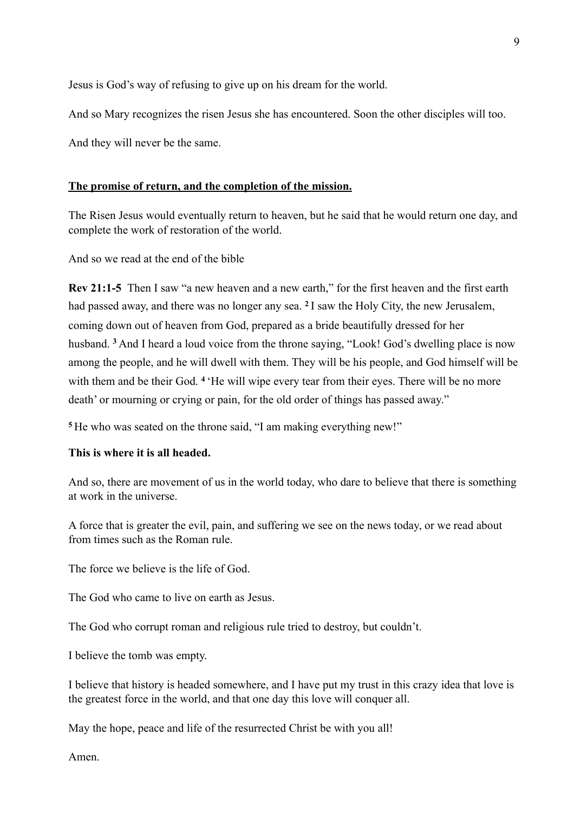Jesus is God's way of refusing to give up on his dream for the world.

And so Mary recognizes the risen Jesus she has encountered. Soon the other disciples will too.

And they will never be the same.

### **The promise of return, and the completion of the mission.**

The Risen Jesus would eventually return to heaven, but he said that he would return one day, and complete the work of restoration of the world.

And so we read at the end of the bible

**Rev 21:1-5** Then I saw "a new heaven and a new earth," for the first heaven and the first earth had passed away, and there was no longer any sea. **<sup>2</sup>**I saw the Holy City, the new Jerusalem, coming down out of heaven from God, prepared as a bride beautifully dressed for her husband. **<sup>3</sup>**And I heard a loud voice from the throne saying, "Look! God's dwelling place is now among the people, and he will dwell with them. They will be his people, and God himself will be with them and be their God. <sup>4</sup> 'He will wipe every tear from their eyes. There will be no more death' or mourning or crying or pain, for the old order of things has passed away."

**<sup>5</sup>**He who was seated on the throne said, "I am making everything new!"

### **This is where it is all headed.**

And so, there are movement of us in the world today, who dare to believe that there is something at work in the universe.

A force that is greater the evil, pain, and suffering we see on the news today, or we read about from times such as the Roman rule.

The force we believe is the life of God.

The God who came to live on earth as Jesus.

The God who corrupt roman and religious rule tried to destroy, but couldn't.

I believe the tomb was empty.

I believe that history is headed somewhere, and I have put my trust in this crazy idea that love is the greatest force in the world, and that one day this love will conquer all.

May the hope, peace and life of the resurrected Christ be with you all!

Amen.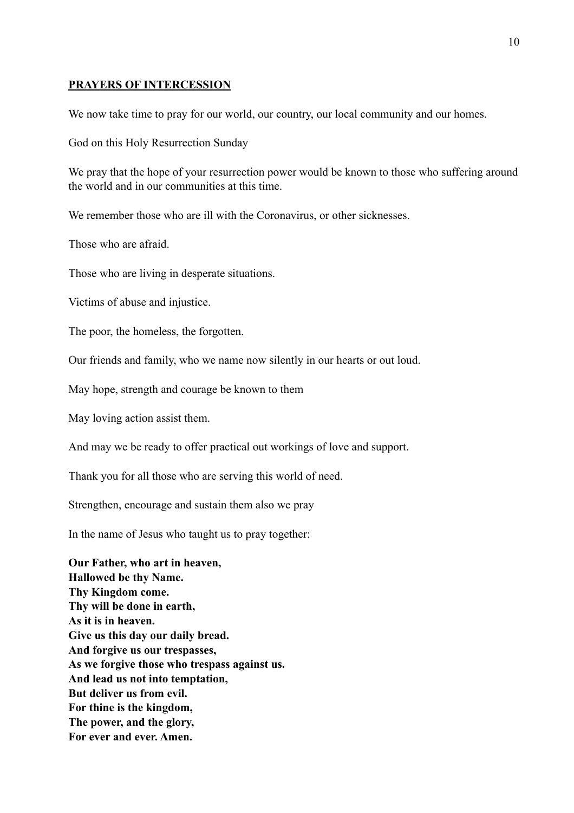#### **PRAYERS OF INTERCESSION**

We now take time to pray for our world, our country, our local community and our homes.

God on this Holy Resurrection Sunday

We pray that the hope of your resurrection power would be known to those who suffering around the world and in our communities at this time.

We remember those who are ill with the Coronavirus, or other sicknesses.

Those who are afraid.

Those who are living in desperate situations.

Victims of abuse and injustice.

The poor, the homeless, the forgotten.

Our friends and family, who we name now silently in our hearts or out loud.

May hope, strength and courage be known to them

May loving action assist them.

And may we be ready to offer practical out workings of love and support.

Thank you for all those who are serving this world of need.

Strengthen, encourage and sustain them also we pray

In the name of Jesus who taught us to pray together:

**Our Father, who art in heaven, Hallowed be thy Name. Thy Kingdom come. Thy will be done in earth, As it is in heaven. Give us this day our daily bread. And forgive us our trespasses, As we forgive those who trespass against us. And lead us not into temptation, But deliver us from evil. For thine is the kingdom, The power, and the glory, For ever and ever. Amen.**